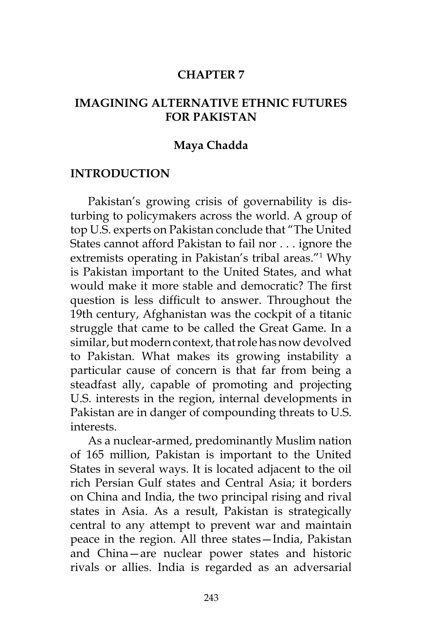### **CHAPTER 7**

## **IMAGINING ALTERNATIVE ETHNIC FUTURES FOR PAKISTAN**

#### **Maya Chadda**

#### **INTRODUCTION**

Pakistan's growing crisis of governability is disturbing to policymakers across the world. A group of top U.S. experts on Pakistan conclude that "The United States cannot afford Pakistan to fail nor . . . ignore the extremists operating in Pakistan's tribal areas."1 Why is Pakistan important to the United States, and what would make it more stable and democratic? The first question is less difficult to answer. Throughout the 19th century, Afghanistan was the cockpit of a titanic struggle that came to be called the Great Game. In a similar, but modern context, that role has now devolved to Pakistan. What makes its growing instability a particular cause of concern is that far from being a steadfast ally, capable of promoting and projecting U.S. interests in the region, internal developments in Pakistan are in danger of compounding threats to U.S. interests.

As a nuclear-armed, predominantly Muslim nation of 165 million, Pakistan is important to the United States in several ways. It is located adjacent to the oil rich Persian Gulf states and Central Asia; it borders on China and India, the two principal rising and rival states in Asia. As a result, Pakistan is strategically central to any attempt to prevent war and maintain peace in the region. All three states—India, Pakistan and China—are nuclear power states and historic rivals or allies. India is regarded as an adversarial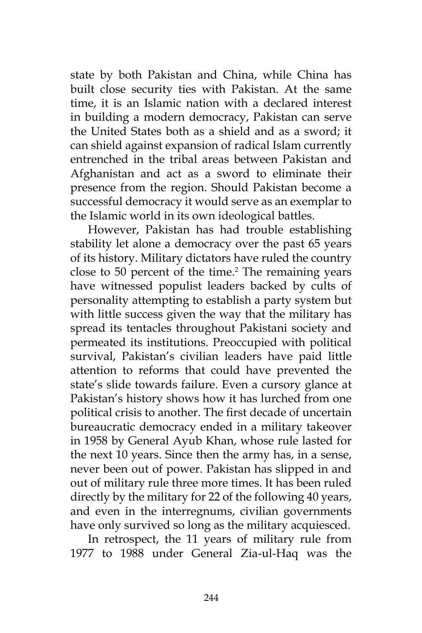state by both Pakistan and China, while China has built close security ties with Pakistan. At the same time, it is an Islamic nation with a declared interest in building a modern democracy, Pakistan can serve the United States both as a shield and as a sword; it can shield against expansion of radical Islam currently entrenched in the tribal areas between Pakistan and Afghanistan and act as a sword to eliminate their presence from the region. Should Pakistan become a successful democracy it would serve as an exemplar to the Islamic world in its own ideological battles.

However, Pakistan has had trouble establishing stability let alone a democracy over the past 65 years of its history. Military dictators have ruled the country close to 50 percent of the time.<sup>2</sup> The remaining years have witnessed populist leaders backed by cults of personality attempting to establish a party system but with little success given the way that the military has spread its tentacles throughout Pakistani society and permeated its institutions. Preoccupied with political survival, Pakistan's civilian leaders have paid little attention to reforms that could have prevented the state's slide towards failure. Even a cursory glance at Pakistan's history shows how it has lurched from one political crisis to another. The first decade of uncertain bureaucratic democracy ended in a military takeover in 1958 by General Ayub Khan, whose rule lasted for the next 10 years. Since then the army has, in a sense, never been out of power. Pakistan has slipped in and out of military rule three more times. It has been ruled directly by the military for 22 of the following 40 years, and even in the interregnums, civilian governments have only survived so long as the military acquiesced.

In retrospect, the 11 years of military rule from 1977 to 1988 under General Zia-ul-Haq was the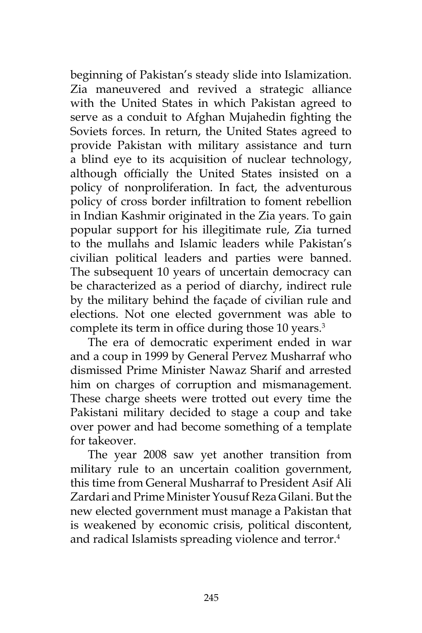beginning of Pakistan's steady slide into Islamization. Zia maneuvered and revived a strategic alliance with the United States in which Pakistan agreed to serve as a conduit to Afghan Mujahedin fighting the Soviets forces. In return, the United States agreed to provide Pakistan with military assistance and turn a blind eye to its acquisition of nuclear technology, although officially the United States insisted on a policy of nonproliferation. In fact, the adventurous policy of cross border infiltration to foment rebellion in Indian Kashmir originated in the Zia years. To gain popular support for his illegitimate rule, Zia turned to the mullahs and Islamic leaders while Pakistan's civilian political leaders and parties were banned. The subsequent 10 years of uncertain democracy can be characterized as a period of diarchy, indirect rule by the military behind the façade of civilian rule and elections. Not one elected government was able to complete its term in office during those 10 years.<sup>3</sup>

The era of democratic experiment ended in war and a coup in 1999 by General Pervez Musharraf who dismissed Prime Minister Nawaz Sharif and arrested him on charges of corruption and mismanagement. These charge sheets were trotted out every time the Pakistani military decided to stage a coup and take over power and had become something of a template for takeover.

The year 2008 saw yet another transition from military rule to an uncertain coalition government, this time from General Musharraf to President Asif Ali Zardari and Prime Minister Yousuf Reza Gilani. But the new elected government must manage a Pakistan that is weakened by economic crisis, political discontent, and radical Islamists spreading violence and terror.<sup>4</sup>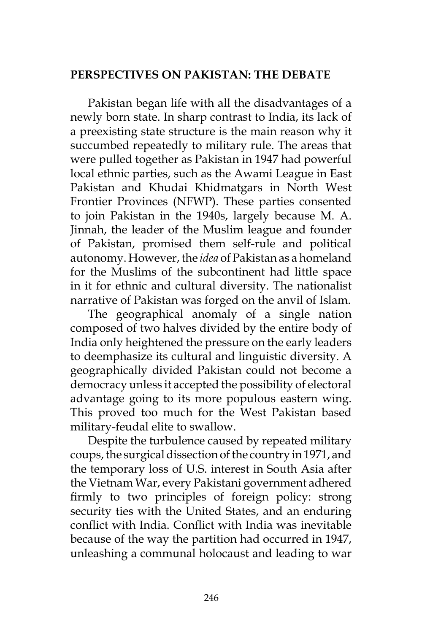## **PERSPECTIVES ON PAKISTAN: THE DEBATE**

Pakistan began life with all the disadvantages of a newly born state. In sharp contrast to India, its lack of a preexisting state structure is the main reason why it succumbed repeatedly to military rule. The areas that were pulled together as Pakistan in 1947 had powerful local ethnic parties, such as the Awami League in East Pakistan and Khudai Khidmatgars in North West Frontier Provinces (NFWP). These parties consented to join Pakistan in the 1940s, largely because M. A. Jinnah, the leader of the Muslim league and founder of Pakistan, promised them self-rule and political autonomy. However, the *idea* of Pakistan as a homeland for the Muslims of the subcontinent had little space in it for ethnic and cultural diversity. The nationalist narrative of Pakistan was forged on the anvil of Islam.

The geographical anomaly of a single nation composed of two halves divided by the entire body of India only heightened the pressure on the early leaders to deemphasize its cultural and linguistic diversity. A geographically divided Pakistan could not become a democracy unless it accepted the possibility of electoral advantage going to its more populous eastern wing. This proved too much for the West Pakistan based military-feudal elite to swallow.

Despite the turbulence caused by repeated military coups, the surgical dissection of the country in 1971, and the temporary loss of U.S. interest in South Asia after the Vietnam War, every Pakistani government adhered firmly to two principles of foreign policy: strong security ties with the United States, and an enduring conflict with India. Conflict with India was inevitable because of the way the partition had occurred in 1947, unleashing a communal holocaust and leading to war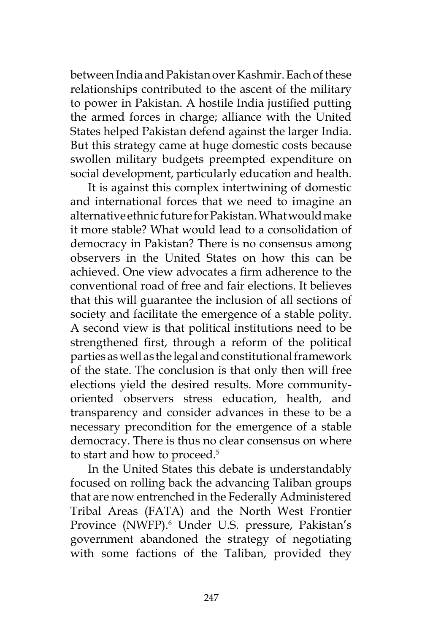between India and Pakistan over Kashmir. Each of these relationships contributed to the ascent of the military to power in Pakistan. A hostile India justified putting the armed forces in charge; alliance with the United States helped Pakistan defend against the larger India. But this strategy came at huge domestic costs because swollen military budgets preempted expenditure on social development, particularly education and health.

It is against this complex intertwining of domestic and international forces that we need to imagine an alternative ethnic future for Pakistan. What would make it more stable? What would lead to a consolidation of democracy in Pakistan? There is no consensus among observers in the United States on how this can be achieved. One view advocates a firm adherence to the conventional road of free and fair elections. It believes that this will guarantee the inclusion of all sections of society and facilitate the emergence of a stable polity. A second view is that political institutions need to be strengthened first, through a reform of the political parties as well as the legal and constitutional framework of the state. The conclusion is that only then will free elections yield the desired results. More communityoriented observers stress education, health, and transparency and consider advances in these to be a necessary precondition for the emergence of a stable democracy. There is thus no clear consensus on where to start and how to proceed.<sup>5</sup>

In the United States this debate is understandably focused on rolling back the advancing Taliban groups that are now entrenched in the Federally Administered Tribal Areas (FATA) and the North West Frontier Province (NWFP).<sup>6</sup> Under U.S. pressure, Pakistan's government abandoned the strategy of negotiating with some factions of the Taliban, provided they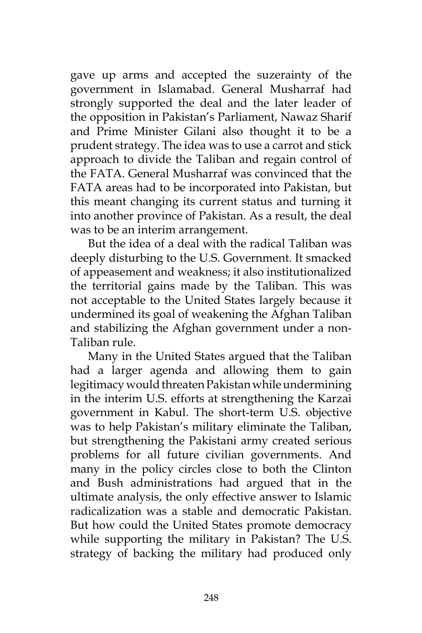gave up arms and accepted the suzerainty of the government in Islamabad. General Musharraf had strongly supported the deal and the later leader of the opposition in Pakistan's Parliament, Nawaz Sharif and Prime Minister Gilani also thought it to be a prudent strategy. The idea was to use a carrot and stick approach to divide the Taliban and regain control of the FATA. General Musharraf was convinced that the FATA areas had to be incorporated into Pakistan, but this meant changing its current status and turning it into another province of Pakistan. As a result, the deal was to be an interim arrangement.

But the idea of a deal with the radical Taliban was deeply disturbing to the U.S. Government. It smacked of appeasement and weakness; it also institutionalized the territorial gains made by the Taliban. This was not acceptable to the United States largely because it undermined its goal of weakening the Afghan Taliban and stabilizing the Afghan government under a non-Taliban rule.

Many in the United States argued that the Taliban had a larger agenda and allowing them to gain legitimacy would threaten Pakistan while undermining in the interim U.S. efforts at strengthening the Karzai government in Kabul. The short-term U.S. objective was to help Pakistan's military eliminate the Taliban, but strengthening the Pakistani army created serious problems for all future civilian governments. And many in the policy circles close to both the Clinton and Bush administrations had argued that in the ultimate analysis, the only effective answer to Islamic radicalization was a stable and democratic Pakistan. But how could the United States promote democracy while supporting the military in Pakistan? The U.S. strategy of backing the military had produced only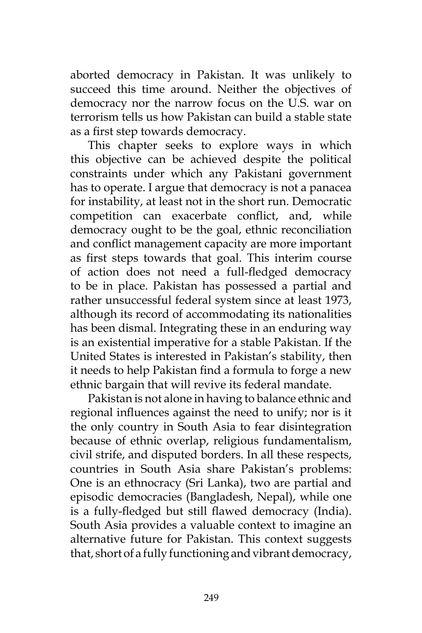aborted democracy in Pakistan. It was unlikely to succeed this time around. Neither the objectives of democracy nor the narrow focus on the U.S. war on terrorism tells us how Pakistan can build a stable state as a first step towards democracy.

This chapter seeks to explore ways in which this objective can be achieved despite the political constraints under which any Pakistani government has to operate. I argue that democracy is not a panacea for instability, at least not in the short run. Democratic competition can exacerbate conflict, and, while democracy ought to be the goal, ethnic reconciliation and conflict management capacity are more important as first steps towards that goal. This interim course of action does not need a full-fledged democracy to be in place. Pakistan has possessed a partial and rather unsuccessful federal system since at least 1973, although its record of accommodating its nationalities has been dismal. Integrating these in an enduring way is an existential imperative for a stable Pakistan. If the United States is interested in Pakistan's stability, then it needs to help Pakistan find a formula to forge a new ethnic bargain that will revive its federal mandate.

Pakistan is not alone in having to balance ethnic and regional influences against the need to unify; nor is it the only country in South Asia to fear disintegration because of ethnic overlap, religious fundamentalism, civil strife, and disputed borders. In all these respects, countries in South Asia share Pakistan's problems: One is an ethnocracy (Sri Lanka), two are partial and episodic democracies (Bangladesh, Nepal), while one is a fully-fledged but still flawed democracy (India). South Asia provides a valuable context to imagine an alternative future for Pakistan. This context suggests that, short of a fully functioning and vibrant democracy,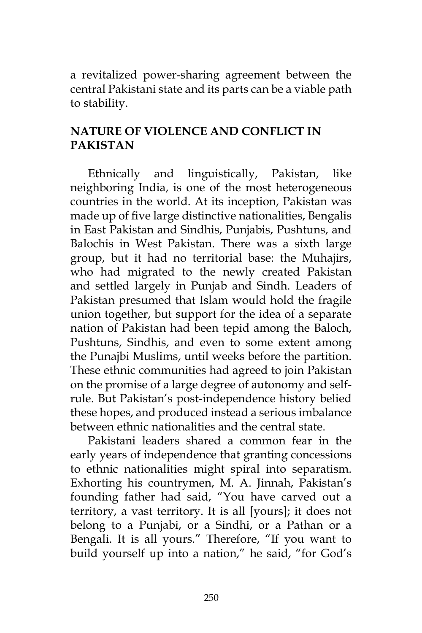a revitalized power-sharing agreement between the central Pakistani state and its parts can be a viable path to stability.

# **NATURE OF VIOLENCE AND CONFLICT IN PAKISTAN**

Ethnically and linguistically, Pakistan, like neighboring India, is one of the most heterogeneous countries in the world. At its inception, Pakistan was made up of five large distinctive nationalities, Bengalis in East Pakistan and Sindhis, Punjabis, Pushtuns, and Balochis in West Pakistan. There was a sixth large group, but it had no territorial base: the Muhajirs, who had migrated to the newly created Pakistan and settled largely in Punjab and Sindh. Leaders of Pakistan presumed that Islam would hold the fragile union together, but support for the idea of a separate nation of Pakistan had been tepid among the Baloch, Pushtuns, Sindhis, and even to some extent among the Punajbi Muslims, until weeks before the partition. These ethnic communities had agreed to join Pakistan on the promise of a large degree of autonomy and selfrule. But Pakistan's post-independence history belied these hopes, and produced instead a serious imbalance between ethnic nationalities and the central state.

Pakistani leaders shared a common fear in the early years of independence that granting concessions to ethnic nationalities might spiral into separatism. Exhorting his countrymen, M. A. Jinnah, Pakistan's founding father had said, "You have carved out a territory, a vast territory. It is all [yours]; it does not belong to a Punjabi, or a Sindhi, or a Pathan or a Bengali. It is all yours." Therefore, "If you want to build yourself up into a nation," he said, "for God's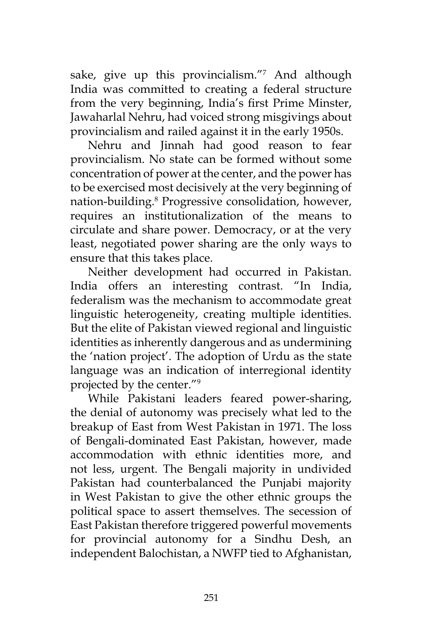sake, give up this provincialism."7 And although India was committed to creating a federal structure from the very beginning, India's first Prime Minster, Jawaharlal Nehru, had voiced strong misgivings about provincialism and railed against it in the early 1950s.

Nehru and Jinnah had good reason to fear provincialism. No state can be formed without some concentration of power at the center, and the power has to be exercised most decisively at the very beginning of nation-building.<sup>8</sup> Progressive consolidation, however, requires an institutionalization of the means to circulate and share power. Democracy, or at the very least, negotiated power sharing are the only ways to ensure that this takes place.

Neither development had occurred in Pakistan. India offers an interesting contrast. "In India, federalism was the mechanism to accommodate great linguistic heterogeneity, creating multiple identities. But the elite of Pakistan viewed regional and linguistic identities as inherently dangerous and as undermining the 'nation project'. The adoption of Urdu as the state language was an indication of interregional identity projected by the center."9

While Pakistani leaders feared power-sharing, the denial of autonomy was precisely what led to the breakup of East from West Pakistan in 1971. The loss of Bengali-dominated East Pakistan, however, made accommodation with ethnic identities more, and not less, urgent. The Bengali majority in undivided Pakistan had counterbalanced the Punjabi majority in West Pakistan to give the other ethnic groups the political space to assert themselves. The secession of East Pakistan therefore triggered powerful movements for provincial autonomy for a Sindhu Desh, an independent Balochistan, a NWFP tied to Afghanistan,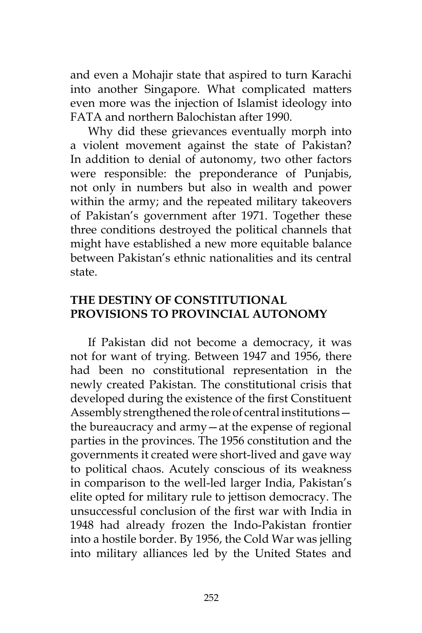and even a Mohajir state that aspired to turn Karachi into another Singapore. What complicated matters even more was the injection of Islamist ideology into FATA and northern Balochistan after 1990.

Why did these grievances eventually morph into a violent movement against the state of Pakistan? In addition to denial of autonomy, two other factors were responsible: the preponderance of Punjabis, not only in numbers but also in wealth and power within the army; and the repeated military takeovers of Pakistan's government after 1971. Together these three conditions destroyed the political channels that might have established a new more equitable balance between Pakistan's ethnic nationalities and its central state.

## **THE DESTINY OF CONSTITUTIONAL PROVISIONS TO PROVINCIAL AUTONOMY**

If Pakistan did not become a democracy, it was not for want of trying. Between 1947 and 1956, there had been no constitutional representation in the newly created Pakistan. The constitutional crisis that developed during the existence of the first Constituent Assembly strengthened the role of central institutions the bureaucracy and army—at the expense of regional parties in the provinces. The 1956 constitution and the governments it created were short-lived and gave way to political chaos. Acutely conscious of its weakness in comparison to the well-led larger India, Pakistan's elite opted for military rule to jettison democracy. The unsuccessful conclusion of the first war with India in 1948 had already frozen the Indo-Pakistan frontier into a hostile border. By 1956, the Cold War was jelling into military alliances led by the United States and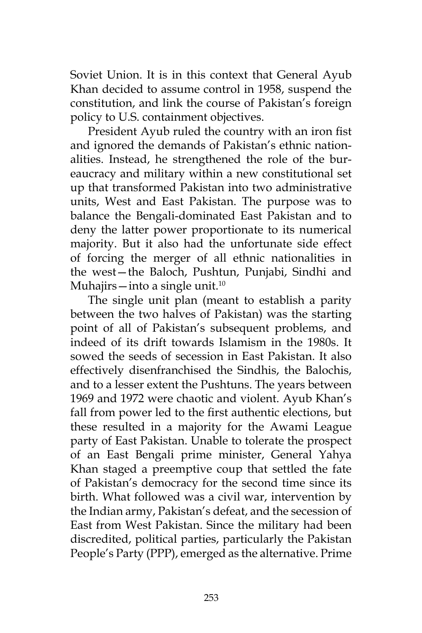Soviet Union. It is in this context that General Ayub Khan decided to assume control in 1958, suspend the constitution, and link the course of Pakistan's foreign policy to U.S. containment objectives.

President Ayub ruled the country with an iron fist and ignored the demands of Pakistan's ethnic nationalities. Instead, he strengthened the role of the bureaucracy and military within a new constitutional set up that transformed Pakistan into two administrative units, West and East Pakistan. The purpose was to balance the Bengali-dominated East Pakistan and to deny the latter power proportionate to its numerical majority. But it also had the unfortunate side effect of forcing the merger of all ethnic nationalities in the west—the Baloch, Pushtun, Punjabi, Sindhi and Muhajirs — into a single unit. $10$ 

The single unit plan (meant to establish a parity between the two halves of Pakistan) was the starting point of all of Pakistan's subsequent problems, and indeed of its drift towards Islamism in the 1980s. It sowed the seeds of secession in East Pakistan. It also effectively disenfranchised the Sindhis, the Balochis, and to a lesser extent the Pushtuns. The years between 1969 and 1972 were chaotic and violent. Ayub Khan's fall from power led to the first authentic elections, but these resulted in a majority for the Awami League party of East Pakistan. Unable to tolerate the prospect of an East Bengali prime minister, General Yahya Khan staged a preemptive coup that settled the fate of Pakistan's democracy for the second time since its birth. What followed was a civil war, intervention by the Indian army, Pakistan's defeat, and the secession of East from West Pakistan. Since the military had been discredited, political parties, particularly the Pakistan People's Party (PPP), emerged as the alternative. Prime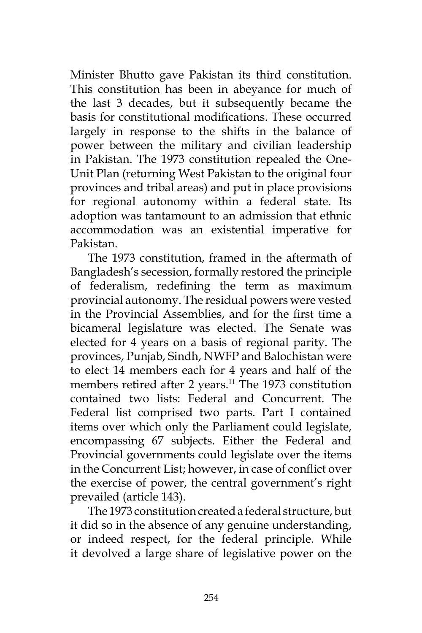Minister Bhutto gave Pakistan its third constitution. This constitution has been in abeyance for much of the last 3 decades, but it subsequently became the basis for constitutional modifications. These occurred largely in response to the shifts in the balance of power between the military and civilian leadership in Pakistan. The 1973 constitution repealed the One-Unit Plan (returning West Pakistan to the original four provinces and tribal areas) and put in place provisions for regional autonomy within a federal state. Its adoption was tantamount to an admission that ethnic accommodation was an existential imperative for Pakistan.

The 1973 constitution, framed in the aftermath of Bangladesh's secession, formally restored the principle of federalism, redefining the term as maximum provincial autonomy. The residual powers were vested in the Provincial Assemblies, and for the first time a bicameral legislature was elected. The Senate was elected for 4 years on a basis of regional parity. The provinces, Punjab, Sindh, NWFP and Balochistan were to elect 14 members each for 4 years and half of the members retired after 2 years.<sup>11</sup> The 1973 constitution contained two lists: Federal and Concurrent. The Federal list comprised two parts. Part I contained items over which only the Parliament could legislate, encompassing 67 subjects. Either the Federal and Provincial governments could legislate over the items in the Concurrent List; however, in case of conflict over the exercise of power, the central government's right prevailed (article 143).

The 1973 constitution created a federal structure, but it did so in the absence of any genuine understanding, or indeed respect, for the federal principle. While it devolved a large share of legislative power on the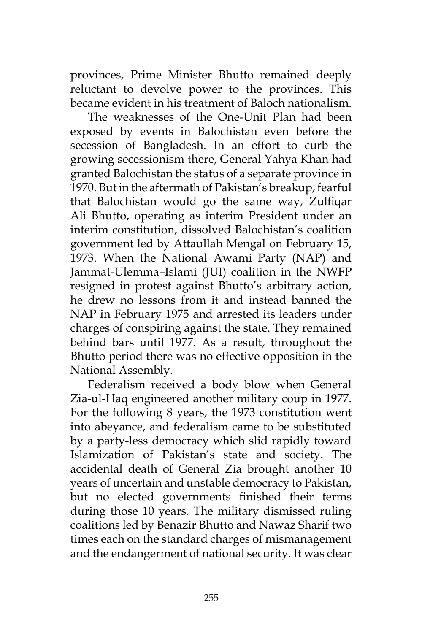provinces, Prime Minister Bhutto remained deeply reluctant to devolve power to the provinces. This became evident in his treatment of Baloch nationalism.

The weaknesses of the One-Unit Plan had been exposed by events in Balochistan even before the secession of Bangladesh. In an effort to curb the growing secessionism there, General Yahya Khan had granted Balochistan the status of a separate province in 1970. But in the aftermath of Pakistan's breakup, fearful that Balochistan would go the same way, Zulfiqar Ali Bhutto, operating as interim President under an interim constitution, dissolved Balochistan's coalition government led by Attaullah Mengal on February 15, 1973. When the National Awami Party (NAP) and Jammat-Ulemma–Islami (JUI) coalition in the NWFP resigned in protest against Bhutto's arbitrary action, he drew no lessons from it and instead banned the NAP in February 1975 and arrested its leaders under charges of conspiring against the state. They remained behind bars until 1977. As a result, throughout the Bhutto period there was no effective opposition in the National Assembly.

Federalism received a body blow when General Zia-ul-Haq engineered another military coup in 1977. For the following 8 years, the 1973 constitution went into abeyance, and federalism came to be substituted by a party-less democracy which slid rapidly toward Islamization of Pakistan's state and society. The accidental death of General Zia brought another 10 years of uncertain and unstable democracy to Pakistan, but no elected governments finished their terms during those 10 years. The military dismissed ruling coalitions led by Benazir Bhutto and Nawaz Sharif two times each on the standard charges of mismanagement and the endangerment of national security. It was clear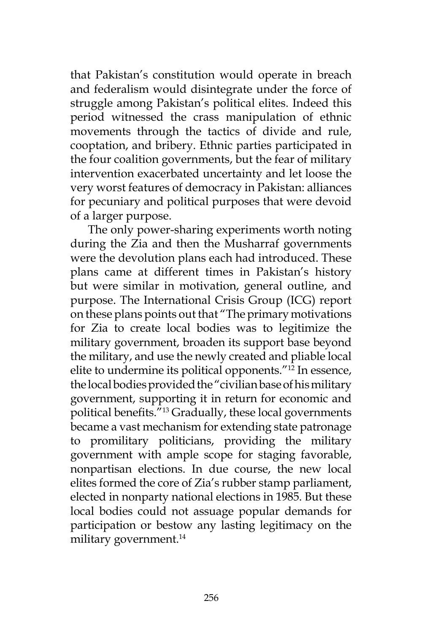that Pakistan's constitution would operate in breach and federalism would disintegrate under the force of struggle among Pakistan's political elites. Indeed this period witnessed the crass manipulation of ethnic movements through the tactics of divide and rule, cooptation, and bribery. Ethnic parties participated in the four coalition governments, but the fear of military intervention exacerbated uncertainty and let loose the very worst features of democracy in Pakistan: alliances for pecuniary and political purposes that were devoid of a larger purpose.

The only power-sharing experiments worth noting during the Zia and then the Musharraf governments were the devolution plans each had introduced. These plans came at different times in Pakistan's history but were similar in motivation, general outline, and purpose. The International Crisis Group (ICG) report on these plans points out that "The primary motivations for Zia to create local bodies was to legitimize the military government, broaden its support base beyond the military, and use the newly created and pliable local elite to undermine its political opponents."12 In essence, the local bodies provided the "civilian base of his military government, supporting it in return for economic and political benefits."13 Gradually, these local governments became a vast mechanism for extending state patronage to promilitary politicians, providing the military government with ample scope for staging favorable, nonpartisan elections. In due course, the new local elites formed the core of Zia's rubber stamp parliament, elected in nonparty national elections in 1985. But these local bodies could not assuage popular demands for participation or bestow any lasting legitimacy on the military government.<sup>14</sup>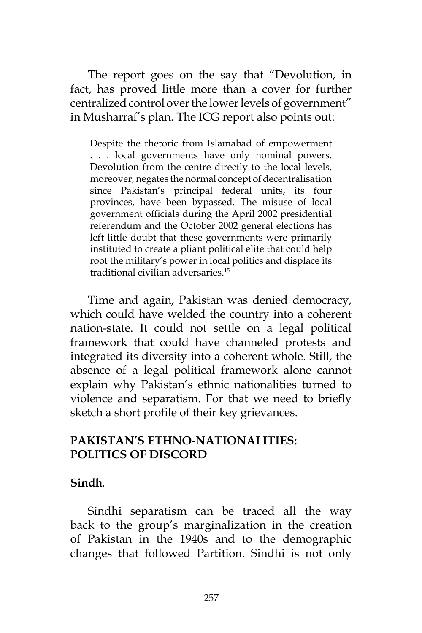The report goes on the say that "Devolution, in fact, has proved little more than a cover for further centralized control over the lower levels of government" in Musharraf's plan. The ICG report also points out:

Despite the rhetoric from Islamabad of empowerment . . . local governments have only nominal powers. Devolution from the centre directly to the local levels, moreover, negates the normal concept of decentralisation since Pakistan's principal federal units, its four provinces, have been bypassed. The misuse of local government officials during the April 2002 presidential referendum and the October 2002 general elections has left little doubt that these governments were primarily instituted to create a pliant political elite that could help root the military's power in local politics and displace its traditional civilian adversaries.15

Time and again, Pakistan was denied democracy, which could have welded the country into a coherent nation-state. It could not settle on a legal political framework that could have channeled protests and integrated its diversity into a coherent whole. Still, the absence of a legal political framework alone cannot explain why Pakistan's ethnic nationalities turned to violence and separatism. For that we need to briefly sketch a short profile of their key grievances.

## **PAKISTAN'S ETHNO-NATIONALITIES: POLITICS OF DISCORD**

### **Sindh***.*

Sindhi separatism can be traced all the way back to the group's marginalization in the creation of Pakistan in the 1940s and to the demographic changes that followed Partition. Sindhi is not only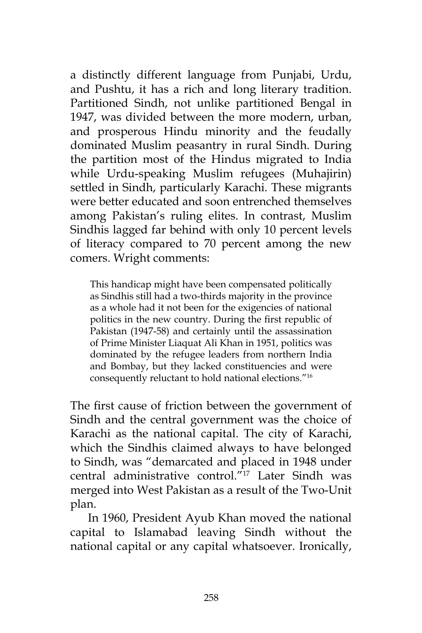a distinctly different language from Punjabi, Urdu, and Pushtu, it has a rich and long literary tradition. Partitioned Sindh, not unlike partitioned Bengal in 1947, was divided between the more modern, urban, and prosperous Hindu minority and the feudally dominated Muslim peasantry in rural Sindh. During the partition most of the Hindus migrated to India while Urdu-speaking Muslim refugees (Muhajirin) settled in Sindh, particularly Karachi. These migrants were better educated and soon entrenched themselves among Pakistan's ruling elites. In contrast, Muslim Sindhis lagged far behind with only 10 percent levels of literacy compared to 70 percent among the new comers. Wright comments:

This handicap might have been compensated politically as Sindhis still had a two-thirds majority in the province as a whole had it not been for the exigencies of national politics in the new country. During the first republic of Pakistan (1947-58) and certainly until the assassination of Prime Minister Liaquat Ali Khan in 1951, politics was dominated by the refugee leaders from northern India and Bombay, but they lacked constituencies and were consequently reluctant to hold national elections."16

The first cause of friction between the government of Sindh and the central government was the choice of Karachi as the national capital. The city of Karachi, which the Sindhis claimed always to have belonged to Sindh, was "demarcated and placed in 1948 under central administrative control."17 Later Sindh was merged into West Pakistan as a result of the Two-Unit plan.

In 1960, President Ayub Khan moved the national capital to Islamabad leaving Sindh without the national capital or any capital whatsoever. Ironically,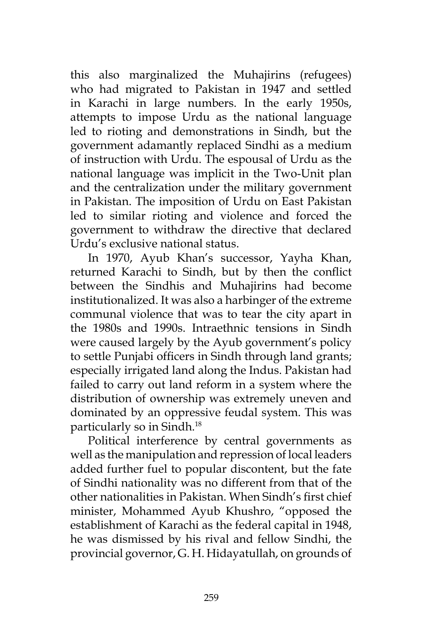this also marginalized the Muhajirins (refugees) who had migrated to Pakistan in 1947 and settled in Karachi in large numbers. In the early 1950s, attempts to impose Urdu as the national language led to rioting and demonstrations in Sindh, but the government adamantly replaced Sindhi as a medium of instruction with Urdu. The espousal of Urdu as the national language was implicit in the Two-Unit plan and the centralization under the military government in Pakistan. The imposition of Urdu on East Pakistan led to similar rioting and violence and forced the government to withdraw the directive that declared Urdu's exclusive national status.

In 1970, Ayub Khan's successor, Yayha Khan, returned Karachi to Sindh, but by then the conflict between the Sindhis and Muhajirins had become institutionalized. It was also a harbinger of the extreme communal violence that was to tear the city apart in the 1980s and 1990s. Intraethnic tensions in Sindh were caused largely by the Ayub government's policy to settle Punjabi officers in Sindh through land grants; especially irrigated land along the Indus. Pakistan had failed to carry out land reform in a system where the distribution of ownership was extremely uneven and dominated by an oppressive feudal system. This was particularly so in Sindh.18

Political interference by central governments as well as the manipulation and repression of local leaders added further fuel to popular discontent, but the fate of Sindhi nationality was no different from that of the other nationalities in Pakistan. When Sindh's first chief minister, Mohammed Ayub Khushro, "opposed the establishment of Karachi as the federal capital in 1948, he was dismissed by his rival and fellow Sindhi, the provincial governor, G. H. Hidayatullah, on grounds of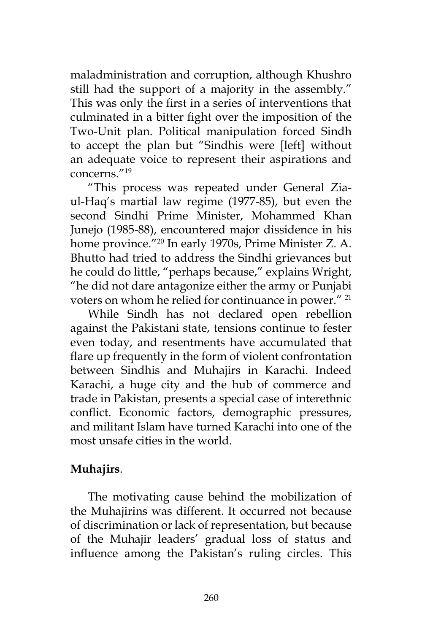maladministration and corruption, although Khushro still had the support of a majority in the assembly." This was only the first in a series of interventions that culminated in a bitter fight over the imposition of the Two-Unit plan. Political manipulation forced Sindh to accept the plan but "Sindhis were [left] without an adequate voice to represent their aspirations and concerns."19

"This process was repeated under General Ziaul-Haq's martial law regime (1977-85), but even the second Sindhi Prime Minister, Mohammed Khan Junejo (1985-88), encountered major dissidence in his home province."<sup>20</sup> In early 1970s, Prime Minister Z. A. Bhutto had tried to address the Sindhi grievances but he could do little, "perhaps because," explains Wright, "he did not dare antagonize either the army or Punjabi voters on whom he relied for continuance in power."<sup>21</sup>

While Sindh has not declared open rebellion against the Pakistani state, tensions continue to fester even today, and resentments have accumulated that flare up frequently in the form of violent confrontation between Sindhis and Muhajirs in Karachi. Indeed Karachi, a huge city and the hub of commerce and trade in Pakistan, presents a special case of interethnic conflict. Economic factors, demographic pressures, and militant Islam have turned Karachi into one of the most unsafe cities in the world.

## **Muhajirs**.

The motivating cause behind the mobilization of the Muhajirins was different. It occurred not because of discrimination or lack of representation, but because of the Muhajir leaders' gradual loss of status and influence among the Pakistan's ruling circles. This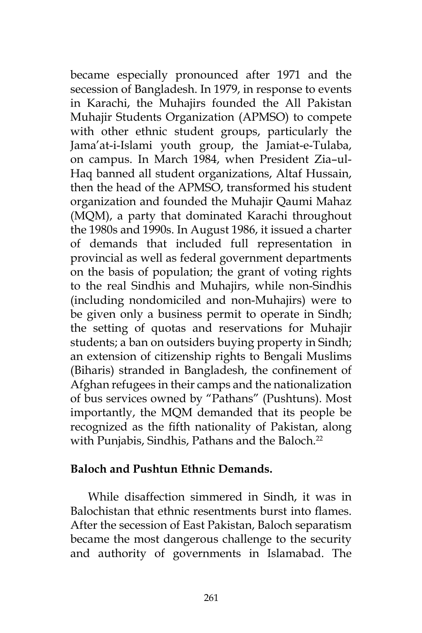became especially pronounced after 1971 and the secession of Bangladesh. In 1979, in response to events in Karachi, the Muhajirs founded the All Pakistan Muhajir Students Organization (APMSO) to compete with other ethnic student groups, particularly the Jama'at-i-Islami youth group, the Jamiat-e-Tulaba, on campus. In March 1984, when President Zia–ul-Haq banned all student organizations, Altaf Hussain, then the head of the APMSO, transformed his student organization and founded the Muhajir Qaumi Mahaz (MQM), a party that dominated Karachi throughout the 1980s and 1990s. In August 1986, it issued a charter of demands that included full representation in provincial as well as federal government departments on the basis of population; the grant of voting rights to the real Sindhis and Muhajirs, while non-Sindhis (including nondomiciled and non-Muhajirs) were to be given only a business permit to operate in Sindh; the setting of quotas and reservations for Muhajir students; a ban on outsiders buying property in Sindh; an extension of citizenship rights to Bengali Muslims (Biharis) stranded in Bangladesh, the confinement of Afghan refugees in their camps and the nationalization of bus services owned by "Pathans" (Pushtuns). Most importantly, the MQM demanded that its people be recognized as the fifth nationality of Pakistan, along with Punjabis, Sindhis, Pathans and the Baloch.<sup>22</sup>

## **Baloch and Pushtun Ethnic Demands.**

While disaffection simmered in Sindh, it was in Balochistan that ethnic resentments burst into flames. After the secession of East Pakistan, Baloch separatism became the most dangerous challenge to the security and authority of governments in Islamabad. The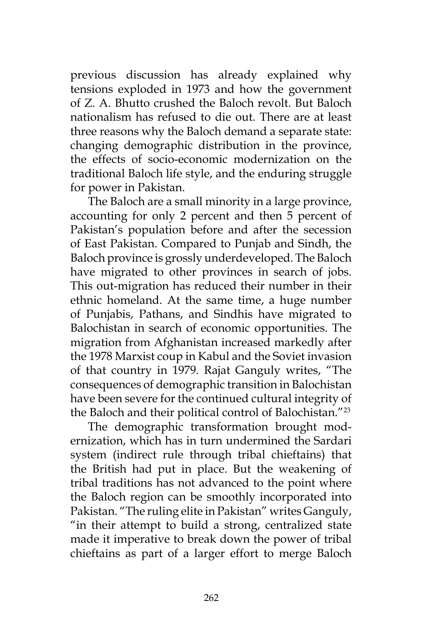previous discussion has already explained why tensions exploded in 1973 and how the government of Z. A. Bhutto crushed the Baloch revolt. But Baloch nationalism has refused to die out. There are at least three reasons why the Baloch demand a separate state: changing demographic distribution in the province, the effects of socio-economic modernization on the traditional Baloch life style, and the enduring struggle for power in Pakistan.

The Baloch are a small minority in a large province, accounting for only 2 percent and then 5 percent of Pakistan's population before and after the secession of East Pakistan. Compared to Punjab and Sindh, the Baloch province is grossly underdeveloped. The Baloch have migrated to other provinces in search of jobs. This out-migration has reduced their number in their ethnic homeland. At the same time, a huge number of Punjabis, Pathans, and Sindhis have migrated to Balochistan in search of economic opportunities. The migration from Afghanistan increased markedly after the 1978 Marxist coup in Kabul and the Soviet invasion of that country in 1979. Rajat Ganguly writes, "The consequences of demographic transition in Balochistan have been severe for the continued cultural integrity of the Baloch and their political control of Balochistan."23

The demographic transformation brought modernization, which has in turn undermined the Sardari system (indirect rule through tribal chieftains) that the British had put in place. But the weakening of tribal traditions has not advanced to the point where the Baloch region can be smoothly incorporated into Pakistan. "The ruling elite in Pakistan" writes Ganguly, "in their attempt to build a strong, centralized state made it imperative to break down the power of tribal chieftains as part of a larger effort to merge Baloch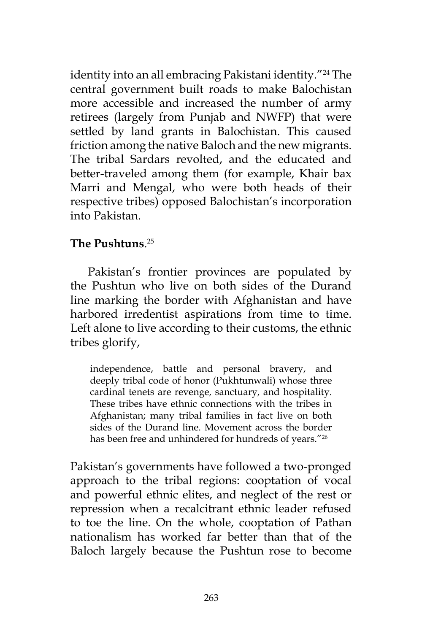identity into an all embracing Pakistani identity."<sup>24</sup> The central government built roads to make Balochistan more accessible and increased the number of army retirees (largely from Punjab and NWFP) that were settled by land grants in Balochistan. This caused friction among the native Baloch and the new migrants. The tribal Sardars revolted, and the educated and better-traveled among them (for example, Khair bax Marri and Mengal, who were both heads of their respective tribes) opposed Balochistan's incorporation into Pakistan.

# **The Pushtuns**. 25

Pakistan's frontier provinces are populated by the Pushtun who live on both sides of the Durand line marking the border with Afghanistan and have harbored irredentist aspirations from time to time. Left alone to live according to their customs, the ethnic tribes glorify,

independence, battle and personal bravery, and deeply tribal code of honor (Pukhtunwali) whose three cardinal tenets are revenge, sanctuary, and hospitality. These tribes have ethnic connections with the tribes in Afghanistan; many tribal families in fact live on both sides of the Durand line. Movement across the border has been free and unhindered for hundreds of years."<sup>26</sup>

Pakistan's governments have followed a two-pronged approach to the tribal regions: cooptation of vocal and powerful ethnic elites, and neglect of the rest or repression when a recalcitrant ethnic leader refused to toe the line. On the whole, cooptation of Pathan nationalism has worked far better than that of the Baloch largely because the Pushtun rose to become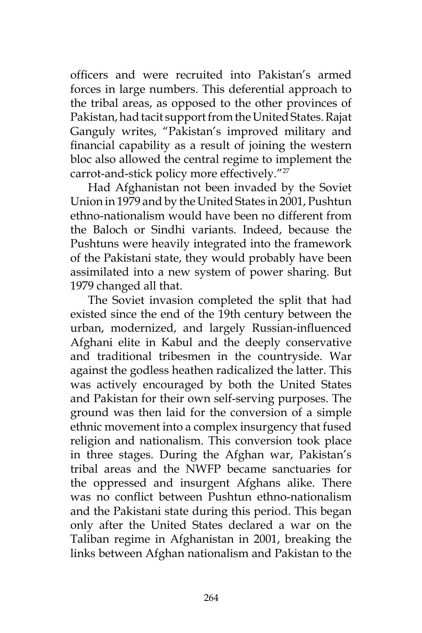officers and were recruited into Pakistan's armed forces in large numbers. This deferential approach to the tribal areas, as opposed to the other provinces of Pakistan, had tacit support from the United States. Rajat Ganguly writes, "Pakistan's improved military and financial capability as a result of joining the western bloc also allowed the central regime to implement the carrot-and-stick policy more effectively."<sup>27</sup>

Had Afghanistan not been invaded by the Soviet Union in 1979 and by the United States in 2001, Pushtun ethno-nationalism would have been no different from the Baloch or Sindhi variants. Indeed, because the Pushtuns were heavily integrated into the framework of the Pakistani state, they would probably have been assimilated into a new system of power sharing. But 1979 changed all that.

The Soviet invasion completed the split that had existed since the end of the 19th century between the urban, modernized, and largely Russian-influenced Afghani elite in Kabul and the deeply conservative and traditional tribesmen in the countryside. War against the godless heathen radicalized the latter. This was actively encouraged by both the United States and Pakistan for their own self-serving purposes. The ground was then laid for the conversion of a simple ethnic movement into a complex insurgency that fused religion and nationalism. This conversion took place in three stages. During the Afghan war, Pakistan's tribal areas and the NWFP became sanctuaries for the oppressed and insurgent Afghans alike. There was no conflict between Pushtun ethno-nationalism and the Pakistani state during this period. This began only after the United States declared a war on the Taliban regime in Afghanistan in 2001, breaking the links between Afghan nationalism and Pakistan to the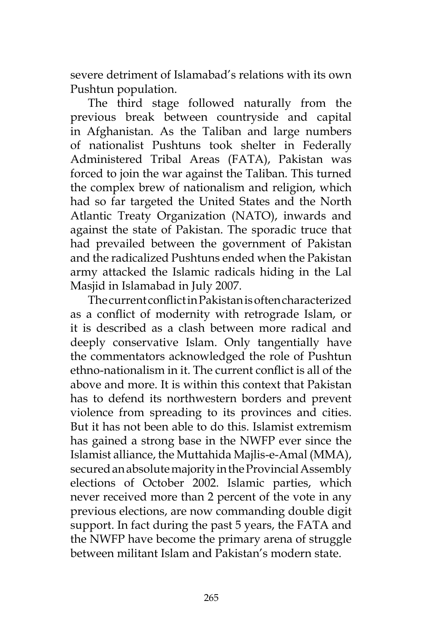severe detriment of Islamabad's relations with its own Pushtun population.

The third stage followed naturally from the previous break between countryside and capital in Afghanistan. As the Taliban and large numbers of nationalist Pushtuns took shelter in Federally Administered Tribal Areas (FATA), Pakistan was forced to join the war against the Taliban. This turned the complex brew of nationalism and religion, which had so far targeted the United States and the North Atlantic Treaty Organization (NATO), inwards and against the state of Pakistan. The sporadic truce that had prevailed between the government of Pakistan and the radicalized Pushtuns ended when the Pakistan army attacked the Islamic radicals hiding in the Lal Masjid in Islamabad in July 2007.

The current conflict in Pakistan is often characterized as a conflict of modernity with retrograde Islam, or it is described as a clash between more radical and deeply conservative Islam. Only tangentially have the commentators acknowledged the role of Pushtun ethno-nationalism in it. The current conflict is all of the above and more. It is within this context that Pakistan has to defend its northwestern borders and prevent violence from spreading to its provinces and cities. But it has not been able to do this. Islamist extremism has gained a strong base in the NWFP ever since the Islamist alliance, the Muttahida Majlis-e-Amal (MMA), secured an absolute majority in the Provincial Assembly elections of October 2002. Islamic parties, which never received more than 2 percent of the vote in any previous elections, are now commanding double digit support. In fact during the past 5 years, the FATA and the NWFP have become the primary arena of struggle between militant Islam and Pakistan's modern state.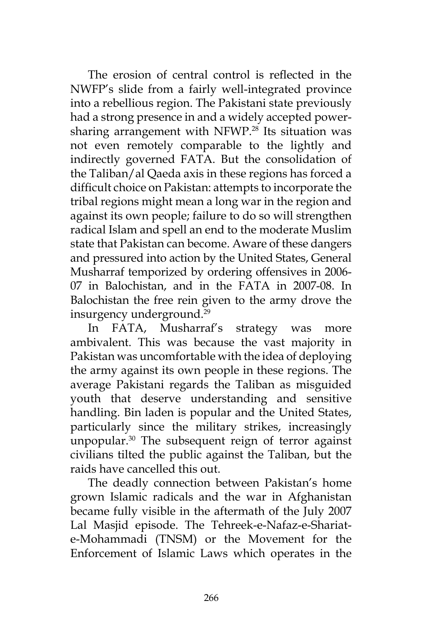The erosion of central control is reflected in the NWFP's slide from a fairly well-integrated province into a rebellious region. The Pakistani state previously had a strong presence in and a widely accepted powersharing arrangement with NFWP.<sup>28</sup> Its situation was not even remotely comparable to the lightly and indirectly governed FATA. But the consolidation of the Taliban/al Qaeda axis in these regions has forced a difficult choice on Pakistan: attempts to incorporate the tribal regions might mean a long war in the region and against its own people; failure to do so will strengthen radical Islam and spell an end to the moderate Muslim state that Pakistan can become. Aware of these dangers and pressured into action by the United States, General Musharraf temporized by ordering offensives in 2006- 07 in Balochistan, and in the FATA in 2007-08. In Balochistan the free rein given to the army drove the insurgency underground.<sup>29</sup>

In FATA, Musharraf's strategy was more ambivalent. This was because the vast majority in Pakistan was uncomfortable with the idea of deploying the army against its own people in these regions. The average Pakistani regards the Taliban as misguided youth that deserve understanding and sensitive handling. Bin laden is popular and the United States, particularly since the military strikes, increasingly unpopular.30 The subsequent reign of terror against civilians tilted the public against the Taliban, but the raids have cancelled this out.

The deadly connection between Pakistan's home grown Islamic radicals and the war in Afghanistan became fully visible in the aftermath of the July 2007 Lal Masjid episode. The Tehreek-e-Nafaz-e-Shariate-Mohammadi (TNSM) or the Movement for the Enforcement of Islamic Laws which operates in the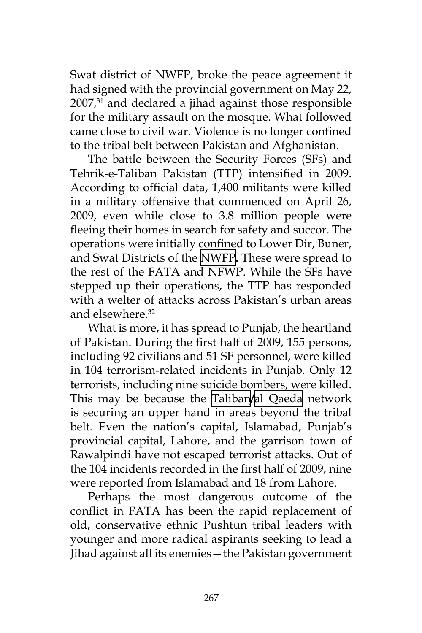Swat district of NWFP, broke the peace agreement it had signed with the provincial government on May 22,  $2007<sup>31</sup>$  and declared a jihad against those responsible for the military assault on the mosque. What followed came close to civil war. Violence is no longer confined to the tribal belt between Pakistan and Afghanistan.

The battle between the Security Forces (SFs) and Tehrik-e-Taliban Pakistan (TTP) intensified in 2009. According to official data, 1,400 militants were killed in a military offensive that commenced on April 26, 2009, even while close to 3.8 million people were fleeing their homes in search for safety and succor. The operations were initially confined to Lower Dir, Buner, and Swat Districts of the [NWFP](http://www.satp.org/tracking/Goto.asp?ID=207)**.** These were spread to the rest of the FATA and NFWP. While the SFs have stepped up their operations, the TTP has responded with a welter of attacks across Pakistan's urban areas and elsewhere.<sup>32</sup>

What is more, it has spread to Punjab, the heartland of Pakistan. During the first half of 2009, 155 persons, including 92 civilians and 51 SF personnel, were killed in 104 terrorism-related incidents in Punjab. Only 12 terrorists, including nine suicide bombers, were killed. This may be because the [Taliban](http://www.satp.org/tracking/Goto.asp?ID=11)**/**[al Qaeda](http://www.satp.org/tracking/Goto.asp?ID=7) network is securing an upper hand in areas beyond the tribal belt. Even the nation's capital, Islamabad, Punjab's provincial capital, Lahore, and the garrison town of Rawalpindi have not escaped terrorist attacks. Out of the 104 incidents recorded in the first half of 2009, nine were reported from Islamabad and 18 from Lahore.

Perhaps the most dangerous outcome of the conflict in FATA has been the rapid replacement of old, conservative ethnic Pushtun tribal leaders with younger and more radical aspirants seeking to lead a Jihad against all its enemies—the Pakistan government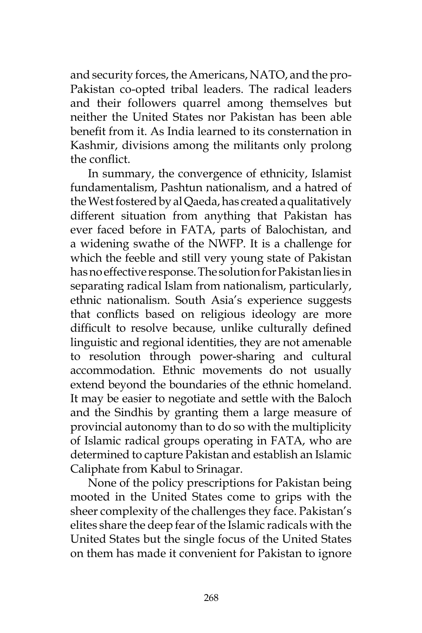and security forces, the Americans, NATO, and the pro-Pakistan co-opted tribal leaders. The radical leaders and their followers quarrel among themselves but neither the United States nor Pakistan has been able benefit from it. As India learned to its consternation in Kashmir, divisions among the militants only prolong the conflict.

In summary, the convergence of ethnicity, Islamist fundamentalism, Pashtun nationalism, and a hatred of the West fostered by al Qaeda, has created a qualitatively different situation from anything that Pakistan has ever faced before in FATA, parts of Balochistan, and a widening swathe of the NWFP. It is a challenge for which the feeble and still very young state of Pakistan has no effective response. The solution for Pakistan lies in separating radical Islam from nationalism, particularly, ethnic nationalism. South Asia's experience suggests that conflicts based on religious ideology are more difficult to resolve because, unlike culturally defined linguistic and regional identities, they are not amenable to resolution through power-sharing and cultural accommodation. Ethnic movements do not usually extend beyond the boundaries of the ethnic homeland. It may be easier to negotiate and settle with the Baloch and the Sindhis by granting them a large measure of provincial autonomy than to do so with the multiplicity of Islamic radical groups operating in FATA, who are determined to capture Pakistan and establish an Islamic Caliphate from Kabul to Srinagar.

None of the policy prescriptions for Pakistan being mooted in the United States come to grips with the sheer complexity of the challenges they face. Pakistan's elites share the deep fear of the Islamic radicals with the United States but the single focus of the United States on them has made it convenient for Pakistan to ignore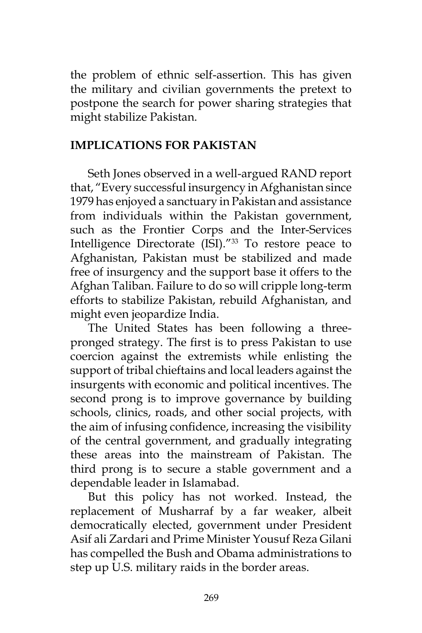the problem of ethnic self-assertion. This has given the military and civilian governments the pretext to postpone the search for power sharing strategies that might stabilize Pakistan.

## **IMPLICATIONS FOR PAKISTAN**

Seth Jones observed in a well-argued RAND report that, "Every successful insurgency in Afghanistan since 1979 has enjoyed a sanctuary in Pakistan and assistance from individuals within the Pakistan government, such as the Frontier Corps and the Inter-Services Intelligence Directorate (ISI)."33 To restore peace to Afghanistan, Pakistan must be stabilized and made free of insurgency and the support base it offers to the Afghan Taliban. Failure to do so will cripple long-term efforts to stabilize Pakistan, rebuild Afghanistan, and might even jeopardize India.

The United States has been following a threepronged strategy. The first is to press Pakistan to use coercion against the extremists while enlisting the support of tribal chieftains and local leaders against the insurgents with economic and political incentives. The second prong is to improve governance by building schools, clinics, roads, and other social projects, with the aim of infusing confidence, increasing the visibility of the central government, and gradually integrating these areas into the mainstream of Pakistan. The third prong is to secure a stable government and a dependable leader in Islamabad.

But this policy has not worked. Instead, the replacement of Musharraf by a far weaker, albeit democratically elected, government under President Asif ali Zardari and Prime Minister Yousuf Reza Gilani has compelled the Bush and Obama administrations to step up U.S. military raids in the border areas.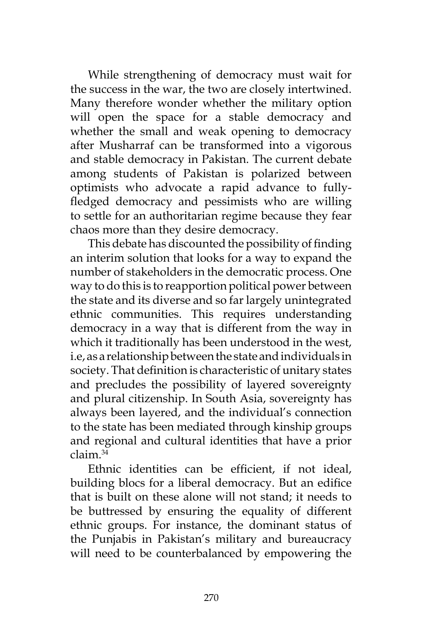While strengthening of democracy must wait for the success in the war, the two are closely intertwined. Many therefore wonder whether the military option will open the space for a stable democracy and whether the small and weak opening to democracy after Musharraf can be transformed into a vigorous and stable democracy in Pakistan. The current debate among students of Pakistan is polarized between optimists who advocate a rapid advance to fullyfledged democracy and pessimists who are willing to settle for an authoritarian regime because they fear chaos more than they desire democracy.

This debate has discounted the possibility of finding an interim solution that looks for a way to expand the number of stakeholders in the democratic process. One way to do this is to reapportion political power between the state and its diverse and so far largely unintegrated ethnic communities. This requires understanding democracy in a way that is different from the way in which it traditionally has been understood in the west, i.e, as a relationship between the state and individuals in society. That definition is characteristic of unitary states and precludes the possibility of layered sovereignty and plural citizenship. In South Asia, sovereignty has always been layered, and the individual's connection to the state has been mediated through kinship groups and regional and cultural identities that have a prior  $claim<sup>34</sup>$ 

Ethnic identities can be efficient, if not ideal, building blocs for a liberal democracy. But an edifice that is built on these alone will not stand; it needs to be buttressed by ensuring the equality of different ethnic groups. For instance, the dominant status of the Punjabis in Pakistan's military and bureaucracy will need to be counterbalanced by empowering the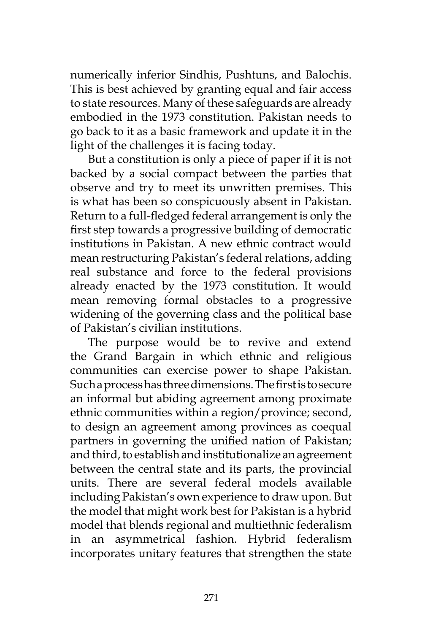numerically inferior Sindhis, Pushtuns, and Balochis. This is best achieved by granting equal and fair access to state resources. Many of these safeguards are already embodied in the 1973 constitution. Pakistan needs to go back to it as a basic framework and update it in the light of the challenges it is facing today.

But a constitution is only a piece of paper if it is not backed by a social compact between the parties that observe and try to meet its unwritten premises. This is what has been so conspicuously absent in Pakistan. Return to a full-fledged federal arrangement is only the first step towards a progressive building of democratic institutions in Pakistan. A new ethnic contract would mean restructuring Pakistan's federal relations, adding real substance and force to the federal provisions already enacted by the 1973 constitution. It would mean removing formal obstacles to a progressive widening of the governing class and the political base of Pakistan's civilian institutions.

The purpose would be to revive and extend the Grand Bargain in which ethnic and religious communities can exercise power to shape Pakistan. Such a process has three dimensions. The first is to secure an informal but abiding agreement among proximate ethnic communities within a region/province; second, to design an agreement among provinces as coequal partners in governing the unified nation of Pakistan; and third, to establish and institutionalize an agreement between the central state and its parts, the provincial units. There are several federal models available including Pakistan's own experience to draw upon. But the model that might work best for Pakistan is a hybrid model that blends regional and multiethnic federalism in an asymmetrical fashion. Hybrid federalism incorporates unitary features that strengthen the state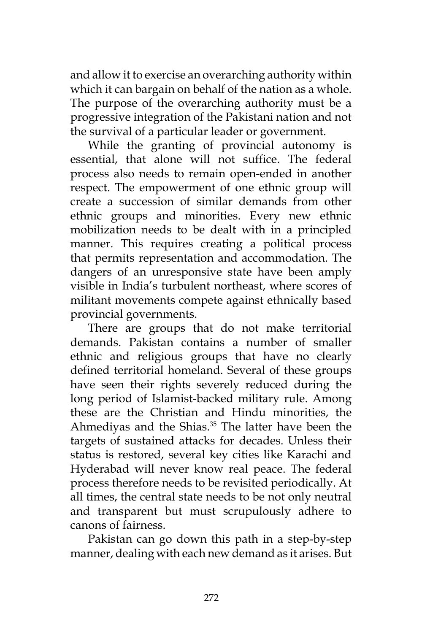and allow it to exercise an overarching authority within which it can bargain on behalf of the nation as a whole. The purpose of the overarching authority must be a progressive integration of the Pakistani nation and not the survival of a particular leader or government.

While the granting of provincial autonomy is essential, that alone will not suffice. The federal process also needs to remain open-ended in another respect. The empowerment of one ethnic group will create a succession of similar demands from other ethnic groups and minorities. Every new ethnic mobilization needs to be dealt with in a principled manner. This requires creating a political process that permits representation and accommodation. The dangers of an unresponsive state have been amply visible in India's turbulent northeast, where scores of militant movements compete against ethnically based provincial governments.

There are groups that do not make territorial demands. Pakistan contains a number of smaller ethnic and religious groups that have no clearly defined territorial homeland. Several of these groups have seen their rights severely reduced during the long period of Islamist-backed military rule. Among these are the Christian and Hindu minorities, the Ahmediyas and the Shias.<sup>35</sup> The latter have been the targets of sustained attacks for decades. Unless their status is restored, several key cities like Karachi and Hyderabad will never know real peace. The federal process therefore needs to be revisited periodically. At all times, the central state needs to be not only neutral and transparent but must scrupulously adhere to canons of fairness.

Pakistan can go down this path in a step-by-step manner, dealing with each new demand as it arises. But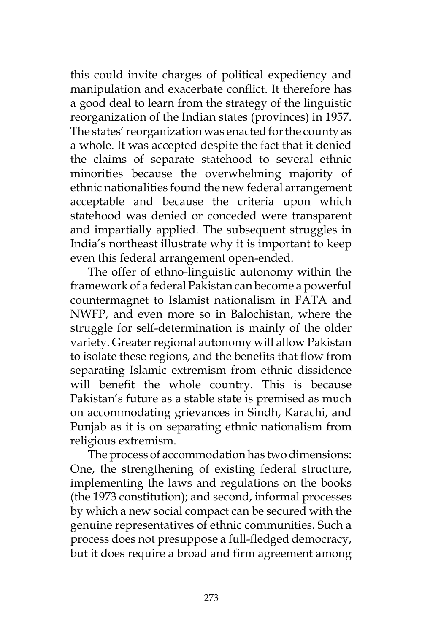this could invite charges of political expediency and manipulation and exacerbate conflict. It therefore has a good deal to learn from the strategy of the linguistic reorganization of the Indian states (provinces) in 1957. The states' reorganization was enacted for the county as a whole. It was accepted despite the fact that it denied the claims of separate statehood to several ethnic minorities because the overwhelming majority of ethnic nationalities found the new federal arrangement acceptable and because the criteria upon which statehood was denied or conceded were transparent and impartially applied. The subsequent struggles in India's northeast illustrate why it is important to keep even this federal arrangement open-ended.

The offer of ethno-linguistic autonomy within the framework of a federal Pakistan can become a powerful countermagnet to Islamist nationalism in FATA and NWFP, and even more so in Balochistan, where the struggle for self-determination is mainly of the older variety. Greater regional autonomy will allow Pakistan to isolate these regions, and the benefits that flow from separating Islamic extremism from ethnic dissidence will benefit the whole country. This is because Pakistan's future as a stable state is premised as much on accommodating grievances in Sindh, Karachi, and Punjab as it is on separating ethnic nationalism from religious extremism.

The process of accommodation has two dimensions: One, the strengthening of existing federal structure, implementing the laws and regulations on the books (the 1973 constitution); and second, informal processes by which a new social compact can be secured with the genuine representatives of ethnic communities. Such a process does not presuppose a full-fledged democracy, but it does require a broad and firm agreement among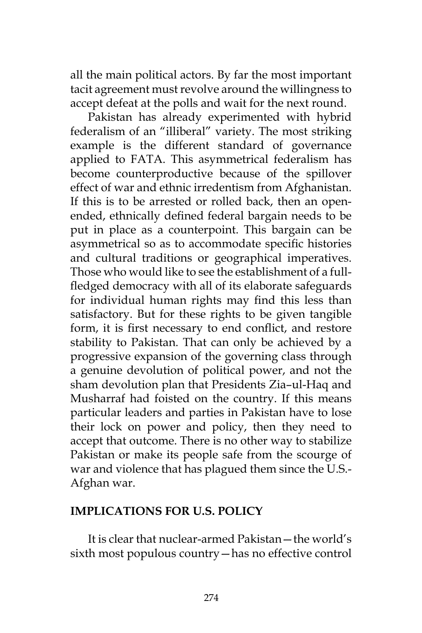all the main political actors. By far the most important tacit agreement must revolve around the willingness to accept defeat at the polls and wait for the next round.

Pakistan has already experimented with hybrid federalism of an "illiberal" variety. The most striking example is the different standard of governance applied to FATA. This asymmetrical federalism has become counterproductive because of the spillover effect of war and ethnic irredentism from Afghanistan. If this is to be arrested or rolled back, then an openended, ethnically defined federal bargain needs to be put in place as a counterpoint. This bargain can be asymmetrical so as to accommodate specific histories and cultural traditions or geographical imperatives. Those who would like to see the establishment of a fullfledged democracy with all of its elaborate safeguards for individual human rights may find this less than satisfactory. But for these rights to be given tangible form, it is first necessary to end conflict, and restore stability to Pakistan. That can only be achieved by a progressive expansion of the governing class through a genuine devolution of political power, and not the sham devolution plan that Presidents Zia–ul-Haq and Musharraf had foisted on the country. If this means particular leaders and parties in Pakistan have to lose their lock on power and policy, then they need to accept that outcome. There is no other way to stabilize Pakistan or make its people safe from the scourge of war and violence that has plagued them since the U.S.- Afghan war.

## **IMPLICATIONS FOR U.S. POLICY**

It is clear that nuclear-armed Pakistan—the world's sixth most populous country—has no effective control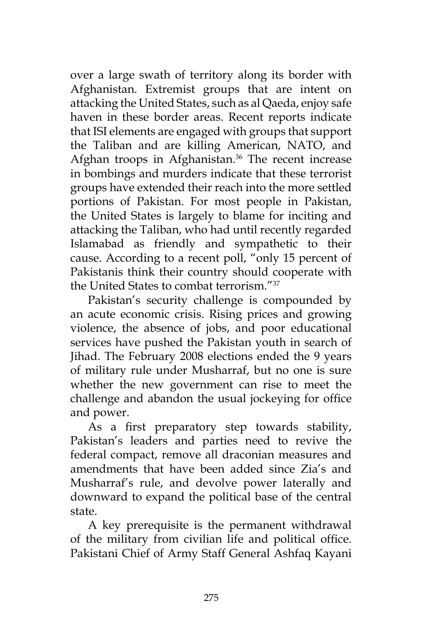over a large swath of territory along its border with Afghanistan. Extremist groups that are intent on attacking the United States, such as al Qaeda, enjoy safe haven in these border areas. Recent reports indicate that ISI elements are engaged with groups that support the Taliban and are killing American, NATO, and Afghan troops in Afghanistan. $36$  The recent increase in bombings and murders indicate that these terrorist groups have extended their reach into the more settled portions of Pakistan. For most people in Pakistan, the United States is largely to blame for inciting and attacking the Taliban, who had until recently regarded Islamabad as friendly and sympathetic to their cause. According to a recent poll, "only 15 percent of Pakistanis think their country should cooperate with the United States to combat terrorism."37

Pakistan's security challenge is compounded by an acute economic crisis. Rising prices and growing violence, the absence of jobs, and poor educational services have pushed the Pakistan youth in search of Jihad. The February 2008 elections ended the 9 years of military rule under Musharraf, but no one is sure whether the new government can rise to meet the challenge and abandon the usual jockeying for office and power.

As a first preparatory step towards stability, Pakistan's leaders and parties need to revive the federal compact, remove all draconian measures and amendments that have been added since Zia's and Musharraf's rule, and devolve power laterally and downward to expand the political base of the central state.

A key prerequisite is the permanent withdrawal of the military from civilian life and political office. Pakistani Chief of Army Staff General Ashfaq Kayani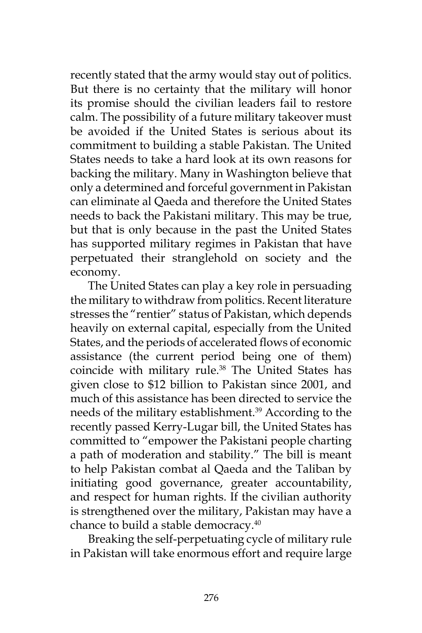recently stated that the army would stay out of politics. But there is no certainty that the military will honor its promise should the civilian leaders fail to restore calm. The possibility of a future military takeover must be avoided if the United States is serious about its commitment to building a stable Pakistan. The United States needs to take a hard look at its own reasons for backing the military. Many in Washington believe that only a determined and forceful government in Pakistan can eliminate al Qaeda and therefore the United States needs to back the Pakistani military. This may be true, but that is only because in the past the United States has supported military regimes in Pakistan that have perpetuated their stranglehold on society and the economy.

The United States can play a key role in persuading the military to withdraw from politics. Recent literature stresses the "rentier" status of Pakistan, which depends heavily on external capital, especially from the United States, and the periods of accelerated flows of economic assistance (the current period being one of them) coincide with military rule.<sup>38</sup> The United States has given close to \$12 billion to Pakistan since 2001, and much of this assistance has been directed to service the needs of the military establishment.<sup>39</sup> According to the recently passed Kerry-Lugar bill, the United States has committed to "empower the Pakistani people charting a path of moderation and stability." The bill is meant to help Pakistan combat al Qaeda and the Taliban by initiating good governance, greater accountability, and respect for human rights. If the civilian authority is strengthened over the military, Pakistan may have a chance to build a stable democracy.<sup>40</sup>

Breaking the self-perpetuating cycle of military rule in Pakistan will take enormous effort and require large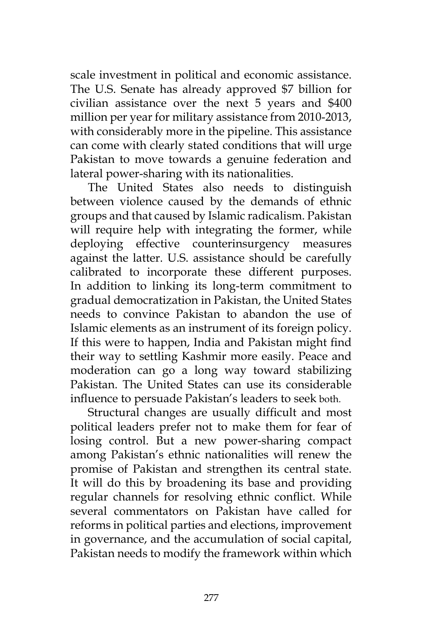scale investment in political and economic assistance. The U.S. Senate has already approved \$7 billion for civilian assistance over the next 5 years and \$400 million per year for military assistance from 2010-2013, with considerably more in the pipeline. This assistance can come with clearly stated conditions that will urge Pakistan to move towards a genuine federation and lateral power-sharing with its nationalities.

The United States also needs to distinguish between violence caused by the demands of ethnic groups and that caused by Islamic radicalism. Pakistan will require help with integrating the former, while deploying effective counterinsurgency measures against the latter. U.S. assistance should be carefully calibrated to incorporate these different purposes. In addition to linking its long-term commitment to gradual democratization in Pakistan, the United States needs to convince Pakistan to abandon the use of Islamic elements as an instrument of its foreign policy. If this were to happen, India and Pakistan might find their way to settling Kashmir more easily. Peace and moderation can go a long way toward stabilizing Pakistan. The United States can use its considerable influence to persuade Pakistan's leaders to seek both.

Structural changes are usually difficult and most political leaders prefer not to make them for fear of losing control. But a new power-sharing compact among Pakistan's ethnic nationalities will renew the promise of Pakistan and strengthen its central state. It will do this by broadening its base and providing regular channels for resolving ethnic conflict. While several commentators on Pakistan have called for reforms in political parties and elections, improvement in governance, and the accumulation of social capital, Pakistan needs to modify the framework within which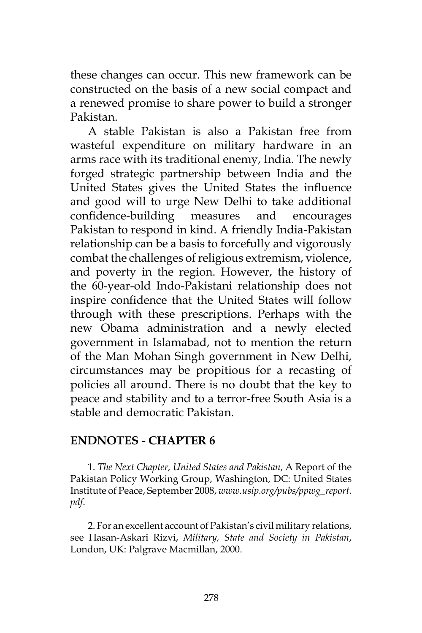these changes can occur. This new framework can be constructed on the basis of a new social compact and a renewed promise to share power to build a stronger Pakistan.

A stable Pakistan is also a Pakistan free from wasteful expenditure on military hardware in an arms race with its traditional enemy, India. The newly forged strategic partnership between India and the United States gives the United States the influence and good will to urge New Delhi to take additional confidence-building measures and encourages Pakistan to respond in kind. A friendly India-Pakistan relationship can be a basis to forcefully and vigorously combat the challenges of religious extremism, violence, and poverty in the region. However, the history of the 60-year-old Indo-Pakistani relationship does not inspire confidence that the United States will follow through with these prescriptions. Perhaps with the new Obama administration and a newly elected government in Islamabad, not to mention the return of the Man Mohan Singh government in New Delhi, circumstances may be propitious for a recasting of policies all around. There is no doubt that the key to peace and stability and to a terror-free South Asia is a stable and democratic Pakistan.

### **ENDNOTES - CHAPTER 6**

1. *The Next Chapter, United States and Pakistan*, A Report of the Pakistan Policy Working Group, Washington, DC: United States Institute of Peace, September 2008, *www.usip.org/pubs/ppwg\_report. pdf*.

2. For an excellent account of Pakistan's civil military relations, see Hasan-Askari Rizvi, *Military, State and Society in Pakistan*, London, UK: Palgrave Macmillan, 2000.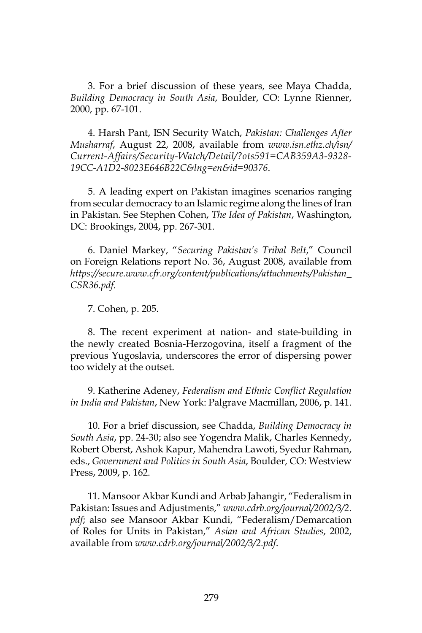3. For a brief discussion of these years, see Maya Chadda, *Building Democracy in South Asia*, Boulder, CO: Lynne Rienner, 2000, pp. 67-101.

4. Harsh Pant, ISN Security Watch, *Pakistan: Challenges After Musharraf*, August 22, 2008, available from *www.isn.ethz.ch/isn/ Current-Affairs/Security-Watch/Detail/?ots591=CAB359A3-9328- 19CC-A1D2-8023E646B22C&lng=en&id=90376*.

5. A leading expert on Pakistan imagines scenarios ranging from secular democracy to an Islamic regime along the lines of Iran in Pakistan. See Stephen Cohen, *The Idea of Pakistan*, Washington, DC: Brookings, 2004, pp. 267-301.

6. Daniel Markey, "*Securing Pakistan's Tribal Belt*," Council on Foreign Relations report No. 36, August 2008, available from *https://secure.www.cfr.org/content/publications/attachments/Pakistan\_ CSR36.pdf*.

7. Cohen, p. 205.

8. The recent experiment at nation- and state-building in the newly created Bosnia-Herzogovina, itself a fragment of the previous Yugoslavia, underscores the error of dispersing power too widely at the outset.

9. Katherine Adeney, *Federalism and Ethnic Conflict Regulation in India and Pakistan*, New York: Palgrave Macmillan, 2006, p. 141.

10. For a brief discussion, see Chadda, *Building Democracy in South Asia*, pp. 24-30; also see Yogendra Malik, Charles Kennedy, Robert Oberst, Ashok Kapur, Mahendra Lawoti, Syedur Rahman, eds., *Government and Politics in South Asia*, Boulder, CO: Westview Press, 2009, p. 162.

11. Mansoor Akbar Kundi and Arbab Jahangir, "Federalism in Pakistan: Issues and Adjustments," *www.cdrb.org/journal/2002/3/2. pdf*; also see Mansoor Akbar Kundi, "Federalism/Demarcation of Roles for Units in Pakistan," *Asian and African Studies*, 2002, available from *www.cdrb.org/journal/2002/3/2.pdf*.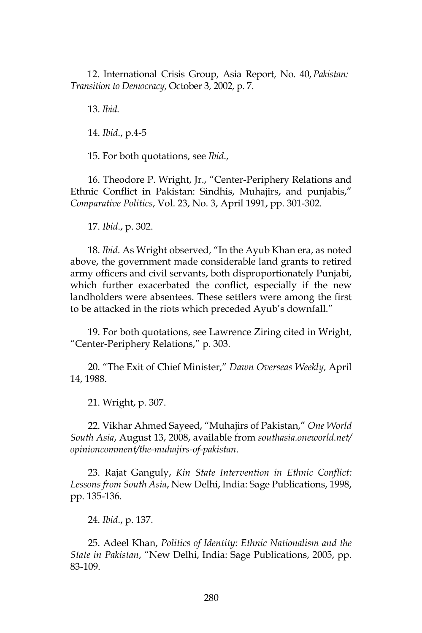12. International Crisis Group, Asia Report, No. 40, *Pakistan: Transition to Democracy*, October 3, 2002, p. 7.

13. *Ibid*.

14. *Ibid*., p.4-5

15. For both quotations, see *Ibid*.,

16. Theodore P. Wright, Jr., "Center-Periphery Relations and Ethnic Conflict in Pakistan: Sindhis, Muhajirs, and punjabis," *Comparative Politics*, Vol. 23, No. 3, April 1991, pp. 301-302.

17. *Ibid*., p. 302.

18. *Ibid*. As Wright observed, "In the Ayub Khan era, as noted above, the government made considerable land grants to retired army officers and civil servants, both disproportionately Punjabi, which further exacerbated the conflict, especially if the new landholders were absentees. These settlers were among the first to be attacked in the riots which preceded Ayub's downfall."

19. For both quotations, see Lawrence Ziring cited in Wright, "Center-Periphery Relations," p. 303.

20. "The Exit of Chief Minister," *Dawn Overseas Weekly*, April 14, 1988.

21. Wright, p. 307.

22. Vikhar Ahmed Sayeed, "Muhajirs of Pakistan," *One World South Asia*, August 13, 2008, available from *southasia.oneworld.net/ opinioncomment/the-muhajirs-of-pakistan*.

23. Rajat Ganguly, *Kin State Intervention in Ethnic Conflict: Lessons from South Asia*, New Delhi, India: Sage Publications, 1998, pp. 135-136.

24. *Ibid*., p. 137.

25. Adeel Khan, *Politics of Identity: Ethnic Nationalism and the State in Pakistan*, "New Delhi, India: Sage Publications, 2005, pp. 83-109.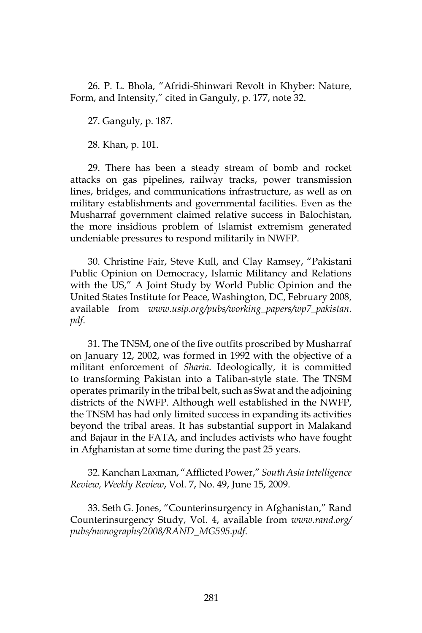26. P. L. Bhola, "Afridi-Shinwari Revolt in Khyber: Nature, Form, and Intensity," cited in Ganguly, p. 177, note 32.

27. Ganguly, p. 187.

28. Khan, p. 101.

29. There has been a steady stream of bomb and rocket attacks on gas pipelines, railway tracks, power transmission lines, bridges, and communications infrastructure, as well as on military establishments and governmental facilities. Even as the Musharraf government claimed relative success in Balochistan, the more insidious problem of Islamist extremism generated undeniable pressures to respond militarily in NWFP.

30. Christine Fair, Steve Kull, and Clay Ramsey, "Pakistani Public Opinion on Democracy, Islamic Militancy and Relations with the US," A Joint Study by World Public Opinion and the United States Institute for Peace, Washington, DC, February 2008, available from *www.usip.org/pubs/working\_papers/wp7\_pakistan. pdf*.

31. The TNSM, one of the five outfits proscribed by Musharraf on January 12, 2002, was formed in 1992 with the objective of a militant enforcement of *Sharia*. Ideologically, it is committed to transforming Pakistan into a Taliban-style state. The TNSM operates primarily in the tribal belt, such as Swat and the adjoining districts of the NWFP. Although well established in the NWFP, the TNSM has had only limited success in expanding its activities beyond the tribal areas. It has substantial support in Malakand and Bajaur in the FATA, and includes activists who have fought in Afghanistan at some time during the past 25 years.

32. Kanchan Laxman, "Afflicted Power," *South Asia Intelligence Review, Weekly Review*, Vol. 7, No. 49, June 15, 2009.

33. Seth G. Jones, "Counterinsurgency in Afghanistan," Rand Counterinsurgency Study, Vol. 4, available from *www.rand.org/ pubs/monographs/2008/RAND\_MG595.pdf*.